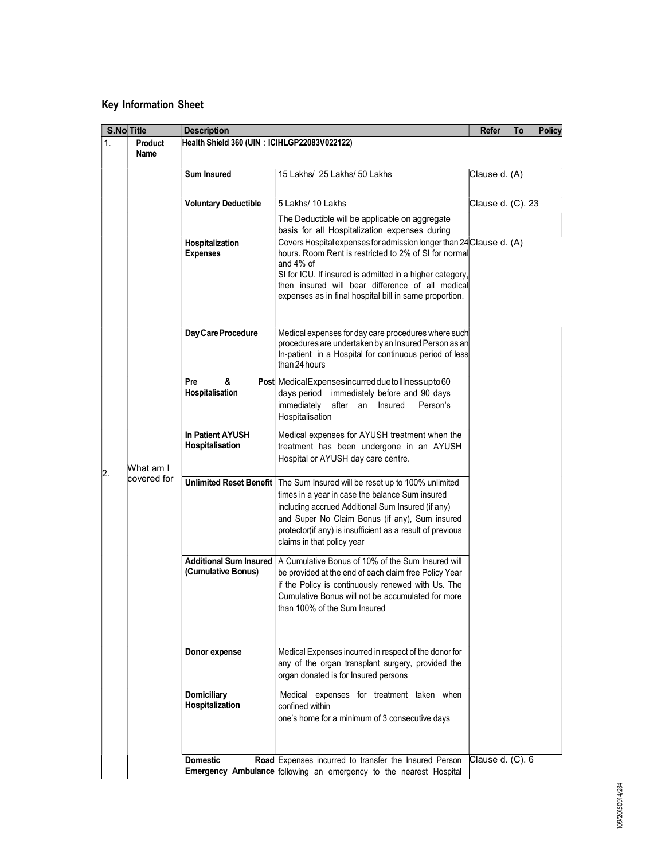## Key Information Sheet

| S.No Title                   | <b>Description</b>                           |                                                                                                                                                                                                                                                                                                                        | Refer             | To | <b>Policy</b> |  |  |
|------------------------------|----------------------------------------------|------------------------------------------------------------------------------------------------------------------------------------------------------------------------------------------------------------------------------------------------------------------------------------------------------------------------|-------------------|----|---------------|--|--|
| 1.<br><b>Product</b><br>Name | Health Shield 360 (UIN: ICIHLGP22083V022122) |                                                                                                                                                                                                                                                                                                                        |                   |    |               |  |  |
|                              | <b>Sum Insured</b>                           | 15 Lakhs/ 25 Lakhs/ 50 Lakhs                                                                                                                                                                                                                                                                                           | Clause d. (A)     |    |               |  |  |
|                              | <b>Voluntary Deductible</b>                  | 5 Lakhs/ 10 Lakhs                                                                                                                                                                                                                                                                                                      | Clause d. (C). 23 |    |               |  |  |
|                              |                                              | The Deductible will be applicable on aggregate<br>basis for all Hospitalization expenses during                                                                                                                                                                                                                        |                   |    |               |  |  |
|                              | Hospitalization<br><b>Expenses</b>           | Covers Hospital expenses for admission longer than 24 Clause d. (A)<br>hours. Room Rent is restricted to 2% of SI for normal<br>and $4\%$ of<br>SI for ICU. If insured is admitted in a higher category,<br>then insured will bear difference of all medical<br>expenses as in final hospital bill in same proportion. |                   |    |               |  |  |
|                              | Day Care Procedure                           | Medical expenses for day care procedures where such<br>procedures are undertaken by an Insured Person as an<br>In-patient in a Hospital for continuous period of less<br>than 24 hours                                                                                                                                 |                   |    |               |  |  |
|                              | &<br>Pre<br>Hospitalisation                  | Post MedicalExpensesincurredduetollInessupto60<br>days period immediately before and 90 days<br>immediately after an Insured<br>Person's<br>Hospitalisation                                                                                                                                                            |                   |    |               |  |  |
| What am I                    | In Patient AYUSH<br>Hospitalisation          | Medical expenses for AYUSH treatment when the<br>treatment has been undergone in an AYUSH<br>Hospital or AYUSH day care centre.                                                                                                                                                                                        |                   |    |               |  |  |
| covered for                  | <b>Unlimited Reset Benefit</b>               | The Sum Insured will be reset up to 100% unlimited<br>times in a year in case the balance Sum insured<br>including accrued Additional Sum Insured (if any)<br>and Super No Claim Bonus (if any), Sum insured<br>protector(if any) is insufficient as a result of previous<br>claims in that policy year                |                   |    |               |  |  |
|                              | Additional Sum Insured<br>(Cumulative Bonus) | A Cumulative Bonus of 10% of the Sum Insured will<br>be provided at the end of each claim free Policy Year<br>if the Policy is continuously renewed with Us. The<br>Cumulative Bonus will not be accumulated for more<br>than 100% of the Sum Insured                                                                  |                   |    |               |  |  |
|                              | Donor expense                                | Medical Expenses incurred in respect of the donor for<br>any of the organ transplant surgery, provided the<br>organ donated is for Insured persons                                                                                                                                                                     |                   |    |               |  |  |
|                              | <b>Domiciliary</b><br>Hospitalization        | Medical expenses for treatment taken when<br>confined within<br>one's home for a minimum of 3 consecutive days                                                                                                                                                                                                         |                   |    |               |  |  |
|                              | <b>Domestic</b>                              | Road Expenses incurred to transfer the Insured Person<br>Emergency Ambulance following an emergency to the nearest Hospital                                                                                                                                                                                            | Clause d. (C). 6  |    |               |  |  |